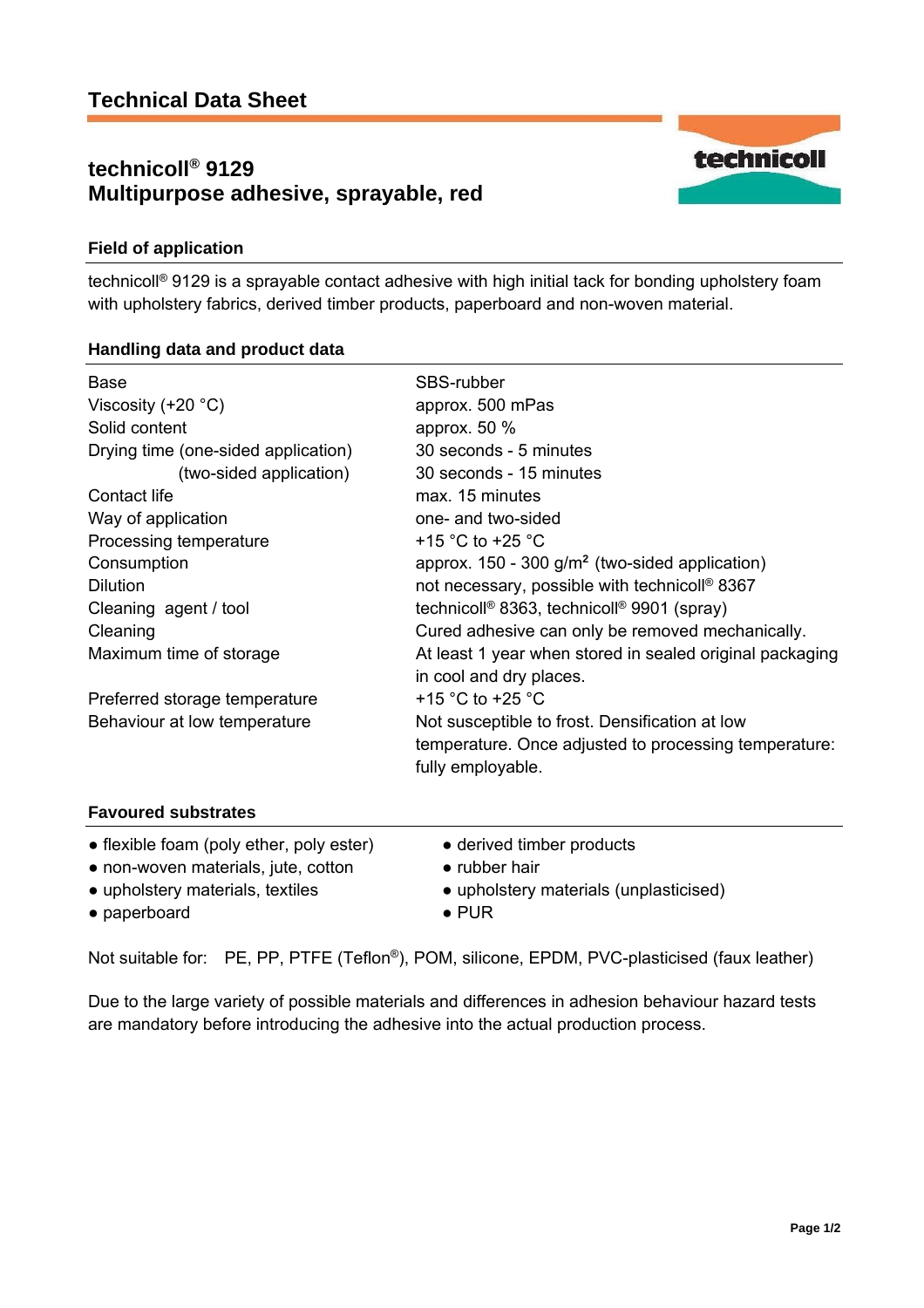# **technicoll® 9129 Multipurpose adhesive, sprayable, red**



# **Field of application**

technicoll® 9129 is a sprayable contact adhesive with high initial tack for bonding upholstery foam with upholstery fabrics, derived timber products, paperboard and non-woven material.

### **Handling data and product data**

| <b>Base</b>                              | SBS-rubber                                                         |
|------------------------------------------|--------------------------------------------------------------------|
| Viscosity (+20 $°C$ )                    | approx. 500 mPas                                                   |
| Solid content                            | approx. $50\%$                                                     |
| Drying time (one-sided application)      | 30 seconds - 5 minutes                                             |
| (two-sided application)                  | 30 seconds - 15 minutes                                            |
| Contact life                             | max. 15 minutes                                                    |
| Way of application                       | one- and two-sided                                                 |
| Processing temperature                   | +15 $^{\circ}$ C to +25 $^{\circ}$ C                               |
| Consumption                              | approx. $150 - 300$ g/m <sup>2</sup> (two-sided application)       |
| Dilution                                 | not necessary, possible with technicoll <sup>®</sup> 8367          |
| Cleaning agent / tool                    | technicoll <sup>®</sup> 8363, technicoll <sup>®</sup> 9901 (spray) |
| Cleaning                                 | Cured adhesive can only be removed mechanically.                   |
| Maximum time of storage                  | At least 1 year when stored in sealed original packaging           |
|                                          | in cool and dry places.                                            |
| Preferred storage temperature            | +15 $^{\circ}$ C to +25 $^{\circ}$ C                               |
| Behaviour at low temperature             | Not susceptible to frost. Densification at low                     |
|                                          | temperature. Once adjusted to processing temperature:              |
|                                          | fully employable.                                                  |
| <b>Favoured substrates</b>               |                                                                    |
| • flexible foam (poly ether, poly ester) | • derived timber products                                          |
| • non-woven materials, jute, cotton      | $\bullet$ rubber hair                                              |
| • upholstery materials, textiles         | • upholstery materials (unplasticised)                             |

● paperboard ● PUR

Not suitable for: PE, PP, PTFE (Teflon®), POM, silicone, EPDM, PVC-plasticised (faux leather)

Due to the large variety of possible materials and differences in adhesion behaviour hazard tests are mandatory before introducing the adhesive into the actual production process.